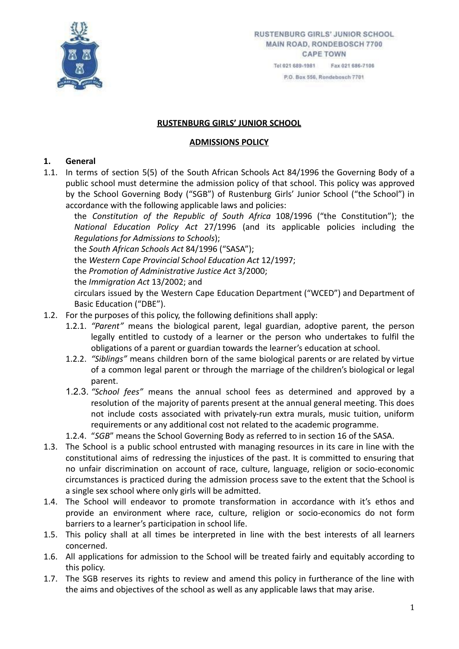

#### RUSTENBURG GIRLS' JUNIOR SCHOOL MAIN ROAD, RONDEBOSCH 7700 **CAPE TOWN** Tel 021 689-1981 Fax 021 686-7106 P.O. Bax 556, Rondebosch 7701

#### **RUSTENBURG GIRLS' JUNIOR SCHOOL**

#### **ADMISSIONS POLICY**

#### **1. General**

1.1. In terms of section 5(5) of the South African Schools Act 84/1996 the Governing Body of a public school must determine the admission policy of that school. This policy was approved by the School Governing Body ("SGB") of Rustenburg Girls' Junior School ("the School") in accordance with the following applicable laws and policies:

the *Constitution of the Republic of South Africa* 108/1996 ("the Constitution"); the *National Education Policy Act* 27/1996 (and its applicable policies including the *Regulations for Admissions to Schools*);

the *South African Schools Act* 84/1996 ("SASA");

the *Western Cape Provincial School Education Act* 12/1997;

the *Promotion of Administrative Justice Act* 3/2000;

the *Immigration Act* 13/2002; and

circulars issued by the Western Cape Education Department ("WCED") and Department of Basic Education ("DBE").

- 1.2. For the purposes of this policy, the following definitions shall apply:
	- 1.2.1. *"Parent"* means the biological parent, legal guardian, adoptive parent, the person legally entitled to custody of a learner or the person who undertakes to fulfil the obligations of a parent or guardian towards the learner's education at school.
	- 1.2.2. *"Siblings"* means children born of the same biological parents or are related by virtue of a common legal parent or through the marriage of the children's biological or legal parent.
	- 1.2.3. *"School fees"* means the annual school fees as determined and approved by a resolution of the majority of parents present at the annual general meeting. This does not include costs associated with privately-run extra murals, music tuition, uniform requirements or any additional cost not related to the academic programme.
	- 1.2.4. "*SGB*" means the School Governing Body as referred to in section 16 of the SASA.
- 1.3. The School is a public school entrusted with managing resources in its care in line with the constitutional aims of redressing the injustices of the past. It is committed to ensuring that no unfair discrimination on account of race, culture, language, religion or socio-economic circumstances is practiced during the admission process save to the extent that the School is a single sex school where only girls will be admitted.
- 1.4. The School will endeavor to promote transformation in accordance with it's ethos and provide an environment where race, culture, religion or socio-economics do not form barriers to a learner's participation in school life.
- 1.5. This policy shall at all times be interpreted in line with the best interests of all learners concerned.
- 1.6. All applications for admission to the School will be treated fairly and equitably according to this policy.
- 1.7. The SGB reserves its rights to review and amend this policy in furtherance of the line with the aims and objectives of the school as well as any applicable laws that may arise.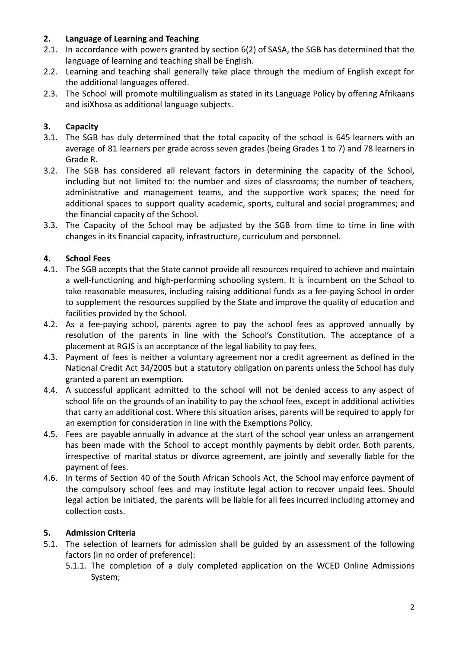### **2. Language of Learning and Teaching**

- 2.1. In accordance with powers granted by section 6(2) of SASA, the SGB has determined that the language of learning and teaching shall be English.
- 2.2. Learning and teaching shall generally take place through the medium of English except for the additional languages offered.
- 2.3. The School will promote multilingualism as stated in its Language Policy by offering Afrikaans and isiXhosa as additional language subjects.

# **3. Capacity**

- 3.1. The SGB has duly determined that the total capacity of the school is 645 learners with an average of 81 learners per grade across seven grades (being Grades 1 to 7) and 78 learners in Grade R.
- 3.2. The SGB has considered all relevant factors in determining the capacity of the School, including but not limited to: the number and sizes of classrooms; the number of teachers, administrative and management teams, and the supportive work spaces; the need for additional spaces to support quality academic, sports, cultural and social programmes; and the financial capacity of the School.
- 3.3. The Capacity of the School may be adjusted by the SGB from time to time in line with changes in its financial capacity, infrastructure, curriculum and personnel.

# **4. School Fees**

- 4.1. The SGB accepts that the State cannot provide all resources required to achieve and maintain a well-functioning and high-performing schooling system. It is incumbent on the School to take reasonable measures, including raising additional funds as a fee-paying School in order to supplement the resources supplied by the State and improve the quality of education and facilities provided by the School.
- 4.2. As a fee-paying school, parents agree to pay the school fees as approved annually by resolution of the parents in line with the School's Constitution. The acceptance of a placement at RGJS is an acceptance of the legal liability to pay fees.
- 4.3. Payment of fees is neither a voluntary agreement nor a credit agreement as defined in the National Credit Act 34/2005 but a statutory obligation on parents unless the School has duly granted a parent an exemption.
- 4.4. A successful applicant admitted to the school will not be denied access to any aspect of school life on the grounds of an inability to pay the school fees, except in additional activities that carry an additional cost. Where this situation arises, parents will be required to apply for an exemption for consideration in line with the Exemptions Policy.
- 4.5. Fees are payable annually in advance at the start of the school year unless an arrangement has been made with the School to accept monthly payments by debit order. Both parents, irrespective of marital status or divorce agreement, are jointly and severally liable for the payment of fees.
- 4.6. In terms of Section 40 of the South African Schools Act, the School may enforce payment of the compulsory school fees and may institute legal action to recover unpaid fees. Should legal action be initiated, the parents will be liable for all fees incurred including attorney and collection costs.

# **5. Admission Criteria**

- 5.1. The selection of learners for admission shall be guided by an assessment of the following factors (in no order of preference):
	- 5.1.1. The completion of a duly completed application on the WCED Online Admissions System;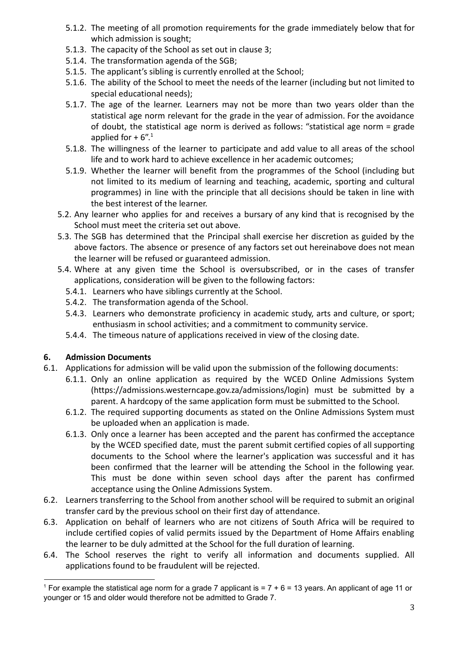- 5.1.2. The meeting of all promotion requirements for the grade immediately below that for which admission is sought;
- 5.1.3. The capacity of the School as set out in clause 3;
- 5.1.4. The transformation agenda of the SGB;
- 5.1.5. The applicant's sibling is currently enrolled at the School;
- 5.1.6. The ability of the School to meet the needs of the learner (including but not limited to special educational needs);
- 5.1.7. The age of the learner. Learners may not be more than two years older than the statistical age norm relevant for the grade in the year of admission. For the avoidance of doubt, the statistical age norm is derived as follows: "statistical age norm = grade applied for  $+6$ ".<sup>1</sup>
- 5.1.8. The willingness of the learner to participate and add value to all areas of the school life and to work hard to achieve excellence in her academic outcomes;
- 5.1.9. Whether the learner will benefit from the programmes of the School (including but not limited to its medium of learning and teaching, academic, sporting and cultural programmes) in line with the principle that all decisions should be taken in line with the best interest of the learner.
- 5.2. Any learner who applies for and receives a bursary of any kind that is recognised by the School must meet the criteria set out above.
- 5.3. The SGB has determined that the Principal shall exercise her discretion as guided by the above factors. The absence or presence of any factors set out hereinabove does not mean the learner will be refused or guaranteed admission.
- 5.4. Where at any given time the School is oversubscribed, or in the cases of transfer applications, consideration will be given to the following factors:
	- 5.4.1. Learners who have siblings currently at the School.
	- 5.4.2. The transformation agenda of the School.
	- 5.4.3. Learners who demonstrate proficiency in academic study, arts and culture, or sport; enthusiasm in school activities; and a commitment to community service.
	- 5.4.4. The timeous nature of applications received in view of the closing date.

# **6. Admission Documents**

- 6.1. Applications for admission will be valid upon the submission of the following documents:
	- 6.1.1. Only an online application as required by the WCED Online Admissions System (https://admissions.westerncape.gov.za/admissions/login) must be submitted by a parent. A hardcopy of the same application form must be submitted to the School.
	- 6.1.2. The required supporting documents as stated on the Online Admissions System must be uploaded when an application is made.
	- 6.1.3. Only once a learner has been accepted and the parent has confirmed the acceptance by the WCED specified date, must the parent submit certified copies of all supporting documents to the School where the learner's application was successful and it has been confirmed that the learner will be attending the School in the following year. This must be done within seven school days after the parent has confirmed acceptance using the Online Admissions System.
- 6.2. Learners transferring to the School from another school will be required to submit an original transfer card by the previous school on their first day of attendance.
- 6.3. Application on behalf of learners who are not citizens of South Africa will be required to include certified copies of valid permits issued by the Department of Home Affairs enabling the learner to be duly admitted at the School for the full duration of learning.
- 6.4. The School reserves the right to verify all information and documents supplied. All applications found to be fraudulent will be rejected.

<sup>&</sup>lt;sup>1</sup> For example the statistical age norm for a grade 7 applicant is  $= 7 + 6 = 13$  years. An applicant of age 11 or younger or 15 and older would therefore not be admitted to Grade 7.